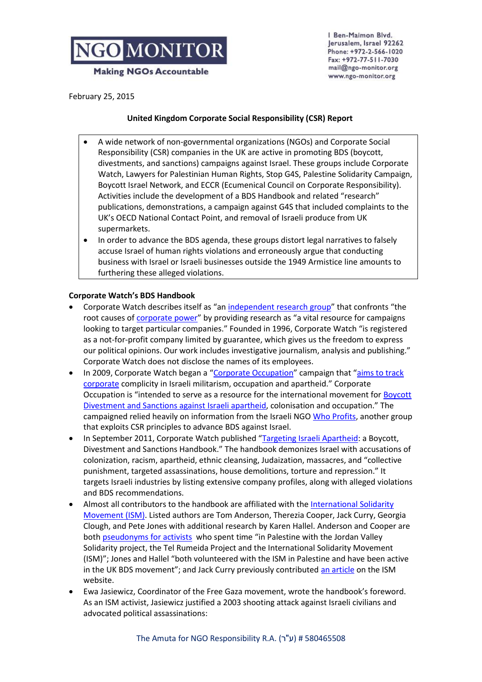

Ben-Maimon Blvd. Jerusalem, Israel 92262 Phone: +972-2-566-1020 Fax: +972-77-511-7030 mail@ngo-monitor.org www.ngo-monitor.org

February 25, 2015

#### **United Kingdom Corporate Social Responsibility (CSR) Report**

- A wide network of non-governmental organizations (NGOs) and Corporate Social Responsibility (CSR) companies in the UK are active in promoting BDS (boycott, divestments, and sanctions) campaigns against Israel. These groups include Corporate Watch, Lawyers for Palestinian Human Rights, Stop G4S, Palestine Solidarity Campaign, Boycott Israel Network, and ECCR (Ecumenical Council on Corporate Responsibility). Activities include the development of a BDS Handbook and related "research" publications, demonstrations, a campaign against G4S that included complaints to the UK's OECD National Contact Point, and removal of Israeli produce from UK supermarkets.
- In order to advance the BDS agenda, these groups distort legal narratives to falsely accuse Israel of human rights violations and erroneously argue that conducting business with Israel or Israeli businesses outside the 1949 Armistice line amounts to furthering these alleged violations.

## **Corporate Watch's BDS Handbook**

- Corporate Watch describes itself as "an [independent research group](http://www.corporatewatch.org/pages/about-corporate-watch)" that confronts "the root causes of *corporate power*" by providing research as "a vital resource for campaigns looking to target particular companies." Founded in 1996, Corporate Watch "is registered as a not-for-profit company limited by guarantee, which gives us the freedom to express our political opinions. Our work includes investigative journalism, analysis and publishing." Corporate Watch does not disclose the names of its employees.
- In 2009, Corporate Watch began a "[Corporate Occupation](http://electronicintifada.net/content/forging-new-links-boycott-movement-gaza/12992)" campaign that "aims to track [corporate](http://www.corporatewatch.org/categories/palestine) complicity in Israeli militarism, occupation and apartheid." Corporate Occupation is "intended to serve as a resource for the international movement for [Boycott](http://corporateoccupation.org/contact-us/)  [Divestment and Sanctions against Israeli apartheid](http://corporateoccupation.org/contact-us/), colonisation and occupation." The campaigned relied heavily on information from the Israeli NG[O Who Profits,](http://whoprofits.org/sites/default/files/WhoProfits-PrivateSecurity-G4S.pdf) another group that exploits CSR principles to advance BDS against Israel.
- In September 2011, Corporate Watch published "[Targeting Israeli Apartheid:](http://www.corporatewatch.org/publications/2011/targeting-israeli-apartheid-boycott-divestment-and-sanctions-handbook) a Boycott, Divestment and Sanctions Handbook." The handbook demonizes Israel with accusations of colonization, racism, apartheid, ethnic cleansing, Judaization, massacres, and "collective punishment, targeted assassinations, house demolitions, torture and repression." It targets Israeli industries by listing extensive company profiles, along with alleged violations and BDS recommendations.
- Almost all contributors to the handbook are affiliated with th[e International Solidarity](http://www.ngo-monitor.org/article/international_solidarity_movement_ism_)  [Movement \(ISM\).](http://www.ngo-monitor.org/article/international_solidarity_movement_ism_) Listed authors are Tom Anderson, Therezia Cooper, Jack Curry, Georgia Clough, and Pete Jones with additional research by Karen Hallel. Anderson and Cooper are bot[h pseudonyms for activists](http://electronicintifada.net/content/guerrilla-research-exposes-sponsors-israeli-apartheid/12291) who spent time "in Palestine with the Jordan Valley Solidarity project, the Tel Rumeida Project and the International Solidarity Movement (ISM)"; Jones and Hallel "both volunteered with the ISM in Palestine and have been active in the UK BDS movement"; and Jack Curry previously contributed [an article](http://palsolidarity.org/2011/04/views-from-the-jordan-valley/) on the ISM website.
- Ewa Jasiewicz, Coordinator of the Free Gaza movement, wrote the handbook's foreword. As an ISM activist, Jasiewicz justified a 2003 shooting attack against Israeli civilians and advocated political assassinations: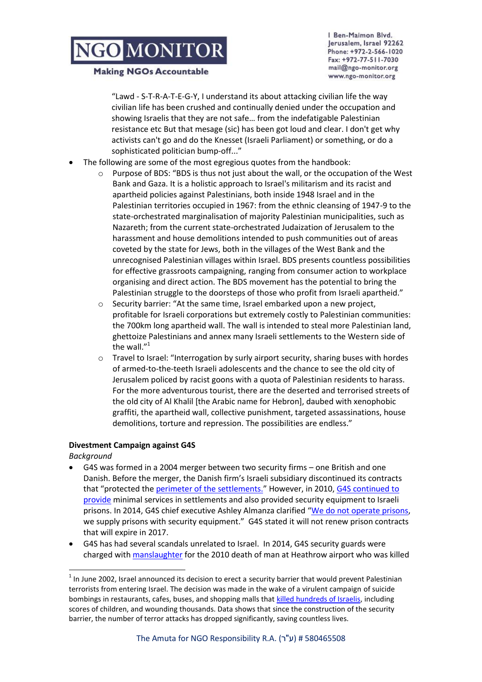#### **Making NGOs Accountable**

Ben-Maimon Blvd. Jerusalem, Israel 92262 Phone: +972-2-566-1020 Fax: +972-77-511-7030 mail@ngo-monitor.org www.ngo-monitor.org

"Lawd - S-T-R-A-T-E-G-Y, I understand its about attacking civilian life the way civilian life has been crushed and continually denied under the occupation and showing Israelis that they are not safe… from the indefatigable Palestinian resistance etc But that mesage (sic) has been got loud and clear. I don't get why activists can't go and do the Knesset (Israeli Parliament) or something, or do a sophisticated politician bump-off..."

- The following are some of the most egregious quotes from the handbook:
	- $\circ$  Purpose of BDS: "BDS is thus not just about the wall, or the occupation of the West Bank and Gaza. It is a holistic approach to Israel's militarism and its racist and apartheid policies against Palestinians, both inside 1948 Israel and in the Palestinian territories occupied in 1967: from the ethnic cleansing of 1947-9 to the state-orchestrated marginalisation of majority Palestinian municipalities, such as Nazareth; from the current state-orchestrated Judaization of Jerusalem to the harassment and house demolitions intended to push communities out of areas coveted by the state for Jews, both in the villages of the West Bank and the unrecognised Palestinian villages within Israel. BDS presents countless possibilities for effective grassroots campaigning, ranging from consumer action to workplace organising and direct action. The BDS movement has the potential to bring the Palestinian struggle to the doorsteps of those who profit from Israeli apartheid."
	- o Security barrier: "At the same time, Israel embarked upon a new project, profitable for Israeli corporations but extremely costly to Palestinian communities: the 700km long apartheid wall. The wall is intended to steal more Palestinian land, ghettoize Palestinians and annex many Israeli settlements to the Western side of the wall."<sup>1</sup>
	- $\circ$  Travel to Israel: "Interrogation by surly airport security, sharing buses with hordes of armed-to-the-teeth Israeli adolescents and the chance to see the old city of Jerusalem policed by racist goons with a quota of Palestinian residents to harass. For the more adventurous tourist, there are the deserted and terrorised streets of the old city of Al Khalil [the Arabic name for Hebron], daubed with xenophobic graffiti, the apartheid wall, collective punishment, targeted assassinations, house demolitions, torture and repression. The possibilities are endless."

## **Divestment Campaign against G4S**

*Background*

 $\overline{\phantom{a}}$ 

- G4S was formed in a 2004 merger between two security firms one British and one Danish. Before the merger, the Danish firm's Israeli subsidiary discontinued its contracts that "protected the [perimeter of the settlements.](http://business-humanrights.org/sites/default/files/media/documents/company_responses/g4s-israel-apr-24-2012.pdf)" However, in 2010, [G4S continued to](http://business-humanrights.org/sites/default/files/media/documents/company_responses/g4s-israel-apr-24-2012.pdf)  [provide](http://business-humanrights.org/sites/default/files/media/documents/company_responses/g4s-israel-apr-24-2012.pdf) minimal services in settlements and also provided security equipment to Israeli prisons. In 2014, G4S chief executive Ashley Almanza clarified "[We do not operate prisons,](http://www.ibtimes.co.uk/g4s-end-all-israeli-torture-prison-contracts-within-next-three-years-1451632) we supply prisons with security equipment." G4S stated it will not renew prison contracts that will expire in 2017.
- G4S has had several scandals unrelated to Israel. In 2014, G4S security guards were charged with [manslaughter](http://www.theguardian.com/uk-news/2014/mar/20/jimmy-mubenga-death-three-g4s-guards-charged-manslaughter) for the 2010 death of man at Heathrow airport who was killed

 $<sup>1</sup>$  In June 2002, Israel announced its decision to erect a security barrier that would prevent Palestinian</sup> terrorists from entering Israel. The decision was made in the wake of a virulent campaign of suicide bombings in restaurants, cafes, buses, and shopping malls tha[t killed hundreds of Israelis,](http://www.mfa.gov.il/mfa/foreignpolicy/terrorism/palestinian/pages/victims%20of%20palestinian%20violence%20and%20terrorism%20sinc.aspxhttp:/www.mfa.gov.il/mfa/foreignpolicy/terrorism/palestinian/pages/victims%20of%20palestinian%20violence%20and%20terrorism%20sinc.aspx) including scores of children, and wounding thousands. Data shows that since the construction of the security barrier, the number of terror attacks has dropped significantly, saving countless lives.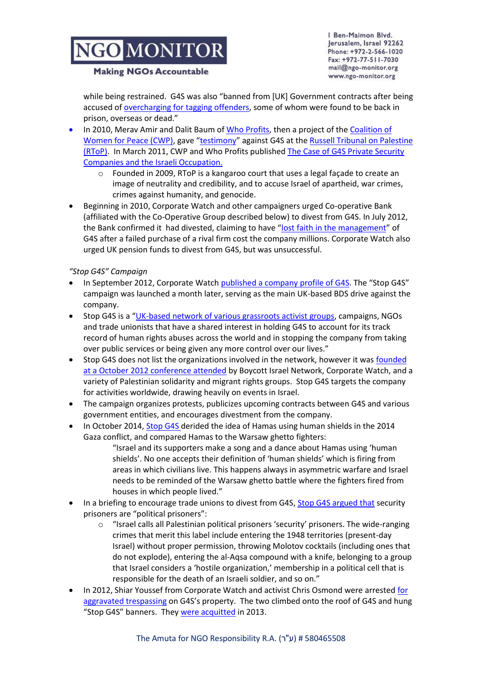Ben-Maimon Blvd. Jerusalem, Israel 92262 Phone: +972-2-566-1020 Fax: +972-77-511-7030 mail@ngo-monitor.org www.ngo-monitor.org

#### **Making NGOs Accountable**

while being restrained. G4S was also "banned from [UK] Government contracts after being accused of [overcharging for tagging offenders,](https://www.google.co.il/url?sa=t&rct=j&q=&esrc=s&source=web&cd=1&cad=rja&uact=8&ved=0CB4QFjAA&url=http%3A%2F%2Fwww.telegraph.co.uk%2Ffinance%2Fnewsbysector%2Fsupportservices%2F10884767%2FBill-Gates-sells-entire-stake-in-G4S.html&ei=O39oVMmSN-GGywPe_oHIAw&usg=AFQjCNEbVdXuDRkqzDMopd500RbiKCg6VA&sig2=R823j8PY7GYctvbgxH5LxA&bvm=bv.79142246,d.bGQ) some of whom were found to be back in prison, overseas or dead."

- In 2010, Merav Amir and Dalit Baum o[f Who Profits,](http://www.ngo-monitor.org/article/who_profits) then a project of the Coalition of [Women for Peace \(CWP\)](http://ngo-monitor.org/article/coalition_of_women_for_peace), gave "[testimony](http://www.russelltribunalonpalestine.com/en/sessions/london-session/programme)" against G4S at the [Russell Tribunal on Palestine](http://www.ngo-monitor.org/article/russell_tribunal_on_palestine) (RToP). In March 2011, CWP and Who Profits published [The Case of G4S Private Security](http://whoprofits.org/sites/default/files/WhoProfits-PrivateSecurity-G4S.pdf)  [Companies and the Israeli Occupation.](http://whoprofits.org/sites/default/files/WhoProfits-PrivateSecurity-G4S.pdf)
	- o Founded in 2009, RToP is a kangaroo court that uses a legal façade to create an image of neutrality and credibility, and to accuse Israel of apartheid, war crimes, crimes against humanity, and genocide.
- **•** Beginning in 2010, Corporate Watch and other campaigners urged Co-operative Bank (affiliated with the Co-Operative Group described below) to divest from G4S. In July 2012, the Bank confirmed it had divested, claiming to have "[lost faith in the management](http://www.corporatewatch.org/magazine/54/summer-2013/campaign-spotlight-divestment-campaigns)" of G4S after a failed purchase of a rival firm cost the company millions. Corporate Watch also urged UK pension funds to divest from G4S, but was unsuccessful.

*"Stop G4S" Campaign* 

- In September 2012, Corporate Watch [published a company profile of G4S](http://www.corporatewatch.org/sites/default/files/G4S_profile_Sep12.pdf). The "Stop G4S" campaign was launched a month later, serving as the main UK-based BDS drive against the company.
- Stop G4S is a "[UK-based network of various grassroots activist groups,](http://stopg4s.net/aboutus) campaigns, NGOs and trade unionists that have a shared interest in holding G4S to account for its track record of human rights abuses across the world and in stopping the company from taking over public services or being given any more control over our lives."
- Stop G4S does not list the organizations involved in the network, however it was founded [at a October 2012 conference attended](http://www.symaag.org.uk/2012/10/04/stop-g4s-convergence-in-sheffield-saturday-october-6th/) by Boycott Israel Network, Corporate Watch, and a variety of Palestinian solidarity and migrant rights groups. Stop G4S targets the company for activities worldwide, drawing heavily on events in Israel.
- The campaign organizes protests, publicizes upcoming contracts between G4S and various government entities, and encourages divestment from the company.
	- In October 2014[, Stop G4S d](https://www.facebook.com/permalink.php?story_fbid=570863936346839&id=208029375963632)erided the idea of Hamas using human shields in the 2014 Gaza conflict, and compared Hamas to the Warsaw ghetto fighters: "Israel and its supporters make a song and a dance about Hamas using 'human shields'. No one accepts their definition of 'human shields' which is firing from areas in which civilians live. This happens always in asymmetric warfare and Israel needs to be reminded of the Warsaw ghetto battle where the fighters fired from houses in which people lived."
- In a briefing to encourage trade unions to divest from G4S[, Stop G4S argued that](http://stopg4s.net/sites/default/files/G4Slong.pdf) security prisoners are "political prisoners":
	- $\circ$  "Israel calls all Palestinian political prisoners 'security' prisoners. The wide-ranging crimes that merit this label include entering the 1948 territories (present-day Israel) without proper permission, throwing Molotov cocktails (including ones that do not explode), entering the al-Aqsa compound with a knife, belonging to a group that Israel considers a 'hostile organization,' membership in a political cell that is responsible for the death of an Israeli soldier, and so on."
- In 2012, Shiar Youssef from Corporate Watch and activist Chris Osmond were arrested [for](http://stopg4s.net/node/96)  [aggravated trespassing](http://stopg4s.net/node/96) on G4S's property. The two climbed onto the roof of G4S and hung "Stop G4S" banners. They [were acquitted](http://stopg4s.net/node/96) in 2013.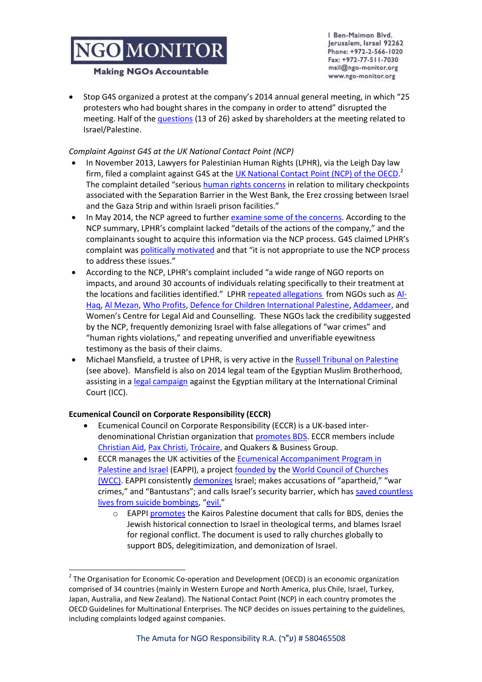Ben-Maimon Blvd. Jerusalem, Israel 92262 Phone: +972-2-566-1020 Fax: +972-77-511-7030 mail@ngo-monitor.org www.ngo-monitor.org

#### **Making NGOs Accountable**

 Stop G4S organized a protest at the company's 2014 annual general meeting, in which "25 protesters who had bought shares in the company in order to attend" disrupted the meeting. Half of the [questions](http://www.corporatewatch.org/news/2014/jun/25/shareholder-activists-account-g4s-agm) (13 of 26) asked by shareholders at the meeting related to Israel/Palestine.

## *Complaint Against G4S at the UK National Contact Point (NCP)*

- In November 2013, Lawyers for Palestinian Human Rights (LPHR), via the Leigh Day law firm, filed a complaint against G4S at the *UK National Contact Point (NCP) of the OECD*.<sup>2</sup> The complaint detailed "serious [human rights concerns](http://www.leighday.co.uk/News/2014/June-2014/UK-Trade-body-investigation-into-G4S-over-alleged) in relation to military checkpoints associated with the Separation Barrier in the West Bank, the Erez crossing between Israel and the Gaza Strip and within Israeli prison facilities."
- In May 2014, the NCP agreed to furthe[r examine some of the concerns.](https://www.gov.uk/government/uploads/system/uploads/attachment_data/file/315104/bis-14-854-palestinian-lawyers-complaint-against-g4s-ncp-initial-assessment.pdf) According to the NCP summary, LPHR's complaint lacked "details of the actions of the company," and the complainants sought to acquire this information via the NCP process. G4S claimed LPHR's complaint was **politically motivated** and that "it is not appropriate to use the NCP process to address these issues."
- According to the NCP, LPHR's complaint included "a wide range of NGO reports on impacts, and around 30 accounts of individuals relating specifically to their treatment at the locations and facilities identified." LPHR [repeated allegations](http://lphr.org.uk/wp-content/uploads/LPHR-Press-Statement-2-June-20141.pdf) from NGOs such as [Al-](http://www.ngo-monitor.org/article/al_haq)[Haq,](http://www.ngo-monitor.org/article/al_haq) [Al Mezan,](http://www.ngo-monitor.org/article/al_mezan_center_for_human_rights) [Who Profits,](http://www.ngo-monitor.org/article/who_profits) [Defence for Children International Palestine,](http://www.ngo-monitor.org/article/defence_for_children_international_palestine_section) [Addameer,](http://www.ngo-monitor.org/article/addameer) and Women's Centre for Legal Aid and Counselling. These NGOs lack the credibility suggested by the NCP, frequently demonizing Israel with false allegations of "war crimes" and "human rights violations," and repeating unverified and unverifiable eyewitness testimony as the basis of their claims.
- Michael Mansfield, a trustee of LPHR, is very active in the [Russell Tribunal on Palestine](http://www.ngo-monitor.org/article/russell_tribunal_on_palestine) (see above). Mansfield is also on 2014 legal team of the Egyptian Muslim Brotherhood, assisting in a [legal campaign](http://www.theglobeandmail.com/news/world/lawyers-file-claim-in-icc-against-egypts-military-backed-regime/article16204039/) against the Egyptian military at the International Criminal Court (ICC).

## **Ecumenical Council on Corporate Responsibility (ECCR)**

 $\overline{\phantom{a}}$ 

- Ecumenical Council on Corporate Responsibility (ECCR) is a UK-based interdenominational Christian organization that **promotes BDS**. ECCR members include [Christian Aid,](http://www.ngo-monitor.org/article/christian_aid_uk_) [Pax Christi,](http://www.ngo-monitor.org/article/pax) [Trócaire,](http://www.ngo-monitor.org/article/trocaire) and Quakers & Business Group.
- ECCR manages the UK activities of the [Ecumenical Accompaniment Program in](http://www.ngo-monitor.org/article/ecumenical_accompaniment_programme_in_palestine_and_israel_eappi_)  [Palestine and Israel](http://www.ngo-monitor.org/article/ecumenical_accompaniment_programme_in_palestine_and_israel_eappi_) (EAPPI), a project [founded by](http://www.eappi.org/en/about/overview.html) the World Council of Churches [\(WCC\).](http://www.ngo-monitor.org/article/world_council_of_churches) EAPPI consistently [demonizes](http://www.eappi.org/en/news/eappi-news/se/browse/6/article/4834/wcc-head-occupation-is-a.html) Israel; makes accusations of "apartheid," "war crimes," and "Bantustans"; and calls Israel's security barrier, which has [saved countless](http://www.theisraelproject.org/atf/cf/%7B84dc5887-741e-4056-8d91-a389164bc94e%7D/DEATHS%20FROM%20SUICIDE%20BOMBINGSII.JPG)  [lives from suicide bombings](http://www.theisraelproject.org/atf/cf/%7B84dc5887-741e-4056-8d91-a389164bc94e%7D/DEATHS%20FROM%20SUICIDE%20BOMBINGSII.JPG), "[evil.](http://www.eappi.org/fileadmin/eappi/files/resources/chain_reaction/Chain_Reaction_6th_edition.pdf)"
	- o EAPP[I promotes](http://www.eappi.org/en/news/eappi-news/news-wcc/sw/article/4566/women-offer-theological-p.html) the Kairos Palestine document that calls for BDS, denies the Jewish historical connection to Israel in theological terms, and blames Israel for regional conflict. The document is used to rally churches globally to support BDS, delegitimization, and demonization of Israel.

<sup>&</sup>lt;sup>2</sup> The Organisation for Economic Co-operation and Development (OECD) is an economic organization comprised of 34 countries (mainly in Western Europe and North America, plus Chile, Israel, Turkey, Japan, Australia, and New Zealand). The National Contact Point (NCP) in each country promotes the OECD Guidelines for Multinational Enterprises. The NCP decides on issues pertaining to the guidelines, including complaints lodged against companies.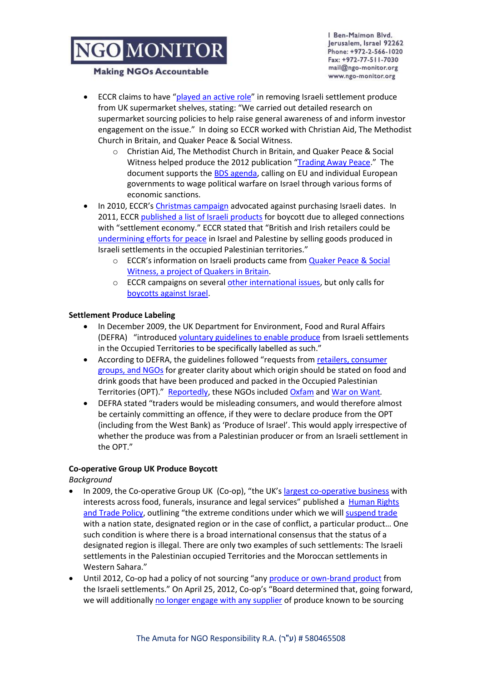#### **Making NGOs Accountable**

Ben-Maimon Blvd. Jerusalem, Israel 92262 Phone: +972-2-566-1020 Fax: +972-77-511-7030 mail@ngo-monitor.org www.ngo-monitor.org

- ECCR claims to have "[played an active role](file:///C:/Users/NGO_User2/Downloads/ECCR%20eBulletin%20March.pdf)" in removing Israeli settlement produce from UK supermarket shelves, stating: "We carried out detailed research on supermarket sourcing policies to help raise general awareness of and inform investor engagement on the issue." In doing so ECCR worked with Christian Aid, The Methodist Church in Britain, and Quaker Peace & Social Witness.
	- o Christian Aid, The Methodist Church in Britain, and Quaker Peace & Social Witness helped produce the 2012 publication "[Trading Away Peace](http://www.ngo-monitor.org/article/_trading_away_peace_how_biased_political_ngos_fuel_conflict)." The document supports the [BDS agenda,](http://ngo-monitor.org/article.php?viewall=yes&id=86) calling on EU and individual European governments to wage political warfare on Israel through various forms of economic sanctions.
- In 2010, ECCR's [Christmas campaign](http://www.eccr.org.uk/dcs/Settlement_goods_news_Dec10.pdf) advocated against purchasing Israeli dates. In 2011, ECCR [published a list of Israeli products](http://www.eccr.org.uk/dcs/Avoiding_Israeli_settlement_goods.pdf) for boycott due to alleged connections with "settlement economy." ECCR stated that "British and Irish retailers could be [undermining efforts for peace](http://www.eccr.org.uk/module-htmlpages-display-pid-65.html) in Israel and Palestine by selling goods produced in Israeli settlements in the occupied Palestinian territories."
	- o ECCR's information on Israeli products came from [Quaker Peace & Social](http://www.eccr.org.uk/dcs/Avoiding_Israeli_settlement_goods.pdf)  [Witness,](http://www.eccr.org.uk/dcs/Avoiding_Israeli_settlement_goods.pdf) a project of Quakers in Britain.
	- o ECCR campaigns on several [other international issues,](http://www.eccr.org.uk/PriorityIssues) but only calls for [boycotts against Israel.](http://www.eccr.org.uk/module-htmlpages-display-pid-64.html)

## **Settlement Produce Labeling**

- In December 2009, the UK Department for Environment, Food and Rural Affairs (DEFRA) "introduced [voluntary guidelines to enable produce](https://www.gov.uk/government/publications/overseas-business-risk-israel/overseas-business-risk-israel) from Israeli settlements in the Occupied Territories to be specifically labelled as such."
- According to DEFRA, the guidelines followed "requests from [retailers, consumer](http://archive.defra.gov.uk/foodfarm/food/pdf/labelling-palestine.pdf)  [groups, and NGOs](http://archive.defra.gov.uk/foodfarm/food/pdf/labelling-palestine.pdf) for greater clarity about which origin should be stated on food and drink goods that have been produced and packed in the Occupied Palestinian Territories (OPT)." [Reportedly,](http://www.unitedjerusalem.org/index2.asp?id=1310317http://www.unitedjerusalem.org/index2.asp?id=1310317) these NGOs included [Oxfam](http://www.ngo-monitor.org/article/oxfam) an[d War on Want](http://www.ngo-monitor.org/article/war_on_want_uk_)*.*
- DEFRA stated "traders would be misleading consumers, and would therefore almost be certainly committing an offence, if they were to declare produce from the OPT (including from the West Bank) as 'Produce of Israel'. This would apply irrespective of whether the produce was from a Palestinian producer or from an Israeli settlement in the OPT."

## **Co-operative Group UK Produce Boycott**

*Background*

- In 2009, the Co-operative Group UK(Co-op), "the UK's [largest co-operative business](http://www.co-operative.coop/corporate/aboutus/An-introduction/) with interests across food, funerals, insurance and legal services" published a [Human Rights](http://www.co-operative.coop/Corporate/CSR/downloads/human_rights_and_trade_policy_2012.pdf)  [and Trade Policy](http://www.co-operative.coop/Corporate/CSR/downloads/human_rights_and_trade_policy_2012.pdf), outlining "the extreme conditions under which we will [suspend trade](http://www.co-operative.coop/Corporate/sustainability-report-2012/downloads/Co-op-2012_LINKED.pdfhttp:/www.co-operative.coop/Corporate/sustainability/2012/downloads/sr2012_International_development.pdf) with a nation state, designated region or in the case of conflict, a particular product… One such condition is where there is a broad international consensus that the status of a designated region is illegal. There are only two examples of such settlements: The Israeli settlements in the Palestinian occupied Territories and the Moroccan settlements in Western Sahara."
- Until 2012, Co-op had a policy of not sourcing "any [produce or own-brand product](http://www.co-operative.coop/our-ethics/our-plan/tackling-global-poverty/ethical-trading-and-human-rights/the-co-operative-and-the-illegal-israeli-settlements/) from the Israeli settlements." On April 25, 2012, Co-op's "Board determined that, going forward, we will additionall[y no longer engage with any supplier](http://www.co-operative.coop/our-ethics/our-plan/tackling-global-poverty/ethical-trading-and-human-rights/the-co-operative-and-the-illegal-israeli-settlements/) of produce known to be sourcing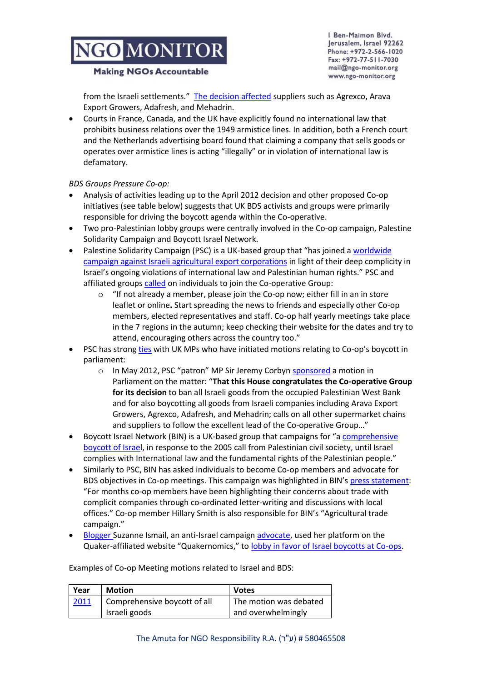#### **Making NGOs Accountable**

from the Israeli settlements." [The decision affected](http://www.theguardian.com/world/2012/apr/29/co-op-israel-west-bank-boycott) suppliers such as Agrexco, Arava Export Growers, Adafresh, and Mehadrin.

 Courts in France, Canada, and the UK have explicitly found no international law that prohibits business relations over the 1949 armistice lines. In addition, both a French court and the Netherlands advertising board found that claiming a company that sells goods or operates over armistice lines is acting "illegally" or in violation of international law is defamatory.

*BDS Groups Pressure Co-op:*

- Analysis of activities leading up to the April 2012 decision and other proposed Co-op initiatives (see table below) suggests that UK BDS activists and groups were primarily responsible for driving the boycott agenda within the Co-operative.
- Two pro-Palestinian lobby groups were centrally involved in the Co-op campaign, Palestine Solidarity Campaign and Boycott Israel Network.
- Palestine Solidarity Campaign (PSC) is a UK-based group that "has joined a [worldwide](http://www.palestinecampaign.org/campaign/agricultural-produce/)  [campaign against Israeli agricultural export corporations](http://www.palestinecampaign.org/campaign/agricultural-produce/) in light of their deep complicity in Israel's ongoing violations of international law and Palestinian human rights." PSC and affiliated group[s called](http://www.leedspsc.org.uk/co-op-boycott-victory/) on individuals to join the Co-operative Group:
	- o "If not already a member, please [join the Co-op](http://www.leedspsc.org.uk/?p=8786) now; either fill in an in store leaflet or [online](https://membership.co-operative.co.uk/co-op/membership/aboutYouSetup.do?CallBackUrl=eX%2bDwfKeIOtRHMHkGaJ83Wz8yESw4eXNJJq4W65gqO3og3cqJTF3mnqL7%2b%2fAbYRETSGUveyp%2bueDEiTblcCZbWWiAhw5057WDvWY4tYVgTFDvMPlp3xwIaroVQXdHwp2&AffiliateId=kig45srDg8%2fVzib8pBscbw%3d%3d&EasySitePageId=GzbzOXL1I3eqziNALMWYvw%3d%3d&EasySiteUserId=kig45srDg8%2fVzib8pBscbw%3d%3d)**.** Start spreading the news to friends and especially other Co-op members, elected representatives and staff. Co-op half yearly meetings take place in the 7 regions in the autumn; keep checking their website for the dates and try to attend, encouraging others across the country too."
- PSC has strong [ties](http://www.palestinecampaign.org/about/patrons/) with UK MPs who have initiated motions relating to Co-op's boycott in parliament:
	- o In May 2012, PSC "patron" MP Sir Jeremy Corbyn [sponsored](http://www.parliament.uk/edm/2012-13/57) a motion in Parliament on the matter: "**That this House congratulates the Co-operative Group for its decision** to ban all Israeli goods from the occupied Palestinian West Bank and for also boycotting all goods from Israeli companies including Arava Export Growers, Agrexco, Adafresh, and Mehadrin; calls on all other supermarket chains and suppliers to follow the excellent lead of the Co-operative Group…"
- Boycott Israel Network (BIN) is a UK-based group that campaigns for "a comprehensive [boycott of Israel](http://www.boycottisraelnetwork.net/?page_id=2), in response to the 2005 call from Palestinian civil society, until Israel complies with International law and the fundamental rights of the Palestinian people."
- Similarly to PSC, BIN has asked individuals to become Co-op members and advocate for BDS objectives in Co-op meetings. This campaign was highlighted in BIN's [press statement:](http://www.boycottisraelnetwork.net/?p=1031) "For months co-op members have been highlighting their concerns about trade with complicit companies through co-ordinated letter-writing and discussions with local offices." Co-op member Hillary Smith is also responsible for BIN's "Agricultural trade campaign."
- [Blogger](http://www.quakerweb.org.uk/blog/author/suzannei/) Suzanne Ismail, an anti-Israel campaig[n advocate,](http://www.eccr.org.uk/Article277.html) used her platform on the Quaker-affiliated website "Quakernomics," to [lobby in favor of Israel boycotts at Co-ops.](http://www.quakerweb.org.uk/blog/campaigns/attend-co-op-agms-to-vote-on-trade-supporting-israeli-occupation/)

Examples of Co-op Meeting motions related to Israel and BDS:

| Year | <b>Motion</b>                | <b>Votes</b>           |
|------|------------------------------|------------------------|
| 2011 | Comprehensive boycott of all | The motion was debated |
|      | Israeli goods                | and overwhelmingly     |